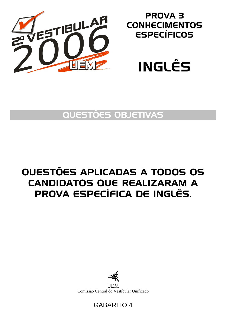

## PROVA 3 **CONHECIMENTOS** ESPECÍFICOS



## QUESTÕES OBJETIVAS

# QUESTÕES APLICADAS A TODOS OS CANDIDATOS QUE REALIZARAM A PROVA ESPECÍFICA DE INGLÊS.



**UEM** Comissão Central do Vestibular Unificado

### GABARITO 4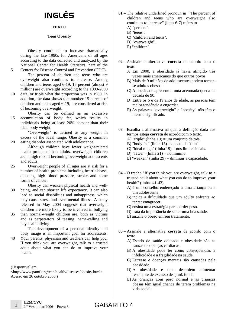# INGLÊS

### **TEXTO**

#### **Teen Obesity**

Obesity continued to increase dramatically during the late 1990s for Americans of all ages according to the data collected and analyzed by the National Center for Health Statistics, part of the Centers for Disease Control and Prevention (CDC).

The percent of children and teens who are overweight also continues to increase. Among children and teens aged 6-19, 15 percent (almost 9 million) are overweight according to the 1999-2000

- 10 data, or triple what the proportion was in 1980. In addition, the data shows that another 15 percent of children and teens aged 6-19, are considered at risk of becoming overweight.
- 15 Obesity can be defined as an excessive accumulation of body fat, which results in individuals being at least 20% heavier than their ideal body weight.

"Overweight" is defined as any weight in excess of the ideal range. Obesity is a common eating disorder associated with adolescence.

Although children have fewer weight-related health problems than adults, overweight children are at high risk of becoming overweight adolescents and adults.

- 25 Overweight people of all ages are at risk for a number of health problems including heart disease, diabetes, high blood pressure, stroke and some forms of cancer.
- 30 Obesity can weaken physical health and wellbeing, and can shorten life expectancy. It can also lead to social disabilities and unhappiness, which may cause stress and even mental illness. A study released in May 2004 suggests that overweight children are more likely to be involved in bullying
- 35 than normal-weight children are, both as victims and as perpetrators of teasing, name-calling and physical bullying.

The development of a personal identity and body image is an important goal for adolescents.

40 Your parents, physician and teachers can help you. If you think you are overweight, talk to a trusted adult about what you can do to improve your health.

(Disponível em

5

20

<http://www.pamf.org/teen/health/diseases/obesity.html>. Acesso em 26 outubro 2005.)

- **01** The relative underlined pronoun in "The percent of children and teens who are overweight also continues to increase" (lines 6-7) refers to
	- A) "percent".
	- B) "teens".
	- C) "children and teens".
	- D) "overweight".
	- E) "children".
- **02** Assinale a alternativa **correta** de acordo com o texto.
	- A) Em 2000, a obesidade já havia atingido três vezes mais americanos do que outros povos.
	- B) Mais de 9 milhões de adolescentes podem tornarse adultos obesos.
	- C) A obesidade apresentou uma acentuada queda na década de 90.
	- D) Entre os 6 e os 19 anos de idade, as pessoas têm maior tendência a engordar.
	- E) As palavras "overweight" e "obesity" não têm o mesmo significado.
- **03** Escolha a alternativa na qual a definição dada aos termos esteja **correta** de acordo com o texto. A) "triple" (linha 10) = um conjunto de três.
	- B) "body fat" (linha  $15$ ) = oposto de "thin".
	- C) "ideal range" (linha  $19$ ) = nos limites ideais.
	- D) "fewer" (linha  $21$ ) = no mínimo.
	- E) "weaken" (linha 29) = diminuir a capacidade.
- **04** O trecho "If you think you are overweight, talk to a trusted adult about what you can do to improve your health" (linhas 41-43)
	- A) é um conselho endereçado a uma criança ou a um adolescente.
	- B) indica a dificuldade que um adulto enfrenta ao tentar emagrecer.
	- C) ensina uma estratégia para perder peso.
	- D) trata da importância de se ter uma boa saúde.
	- E) auxilia o obeso em seu tratamento.
- **05** Assinale a alternativa **correta** de acordo com o texto.
	- A) Estado de saúde delicado e obesidade são as causas de doenças cardíacas.
	- B) A obesidade pode ter como conseqüências a infelicidade e a fragilidade na saúde.
	- C) Estresse e doenças mentais são causadas pela obesidade.
	- D) A obesidade é uma desordem alimentar resultante de excesso de "junk food".
	- E) As crianças com peso normal e as crianças obesas têm igual chance de terem problemas na vida social.